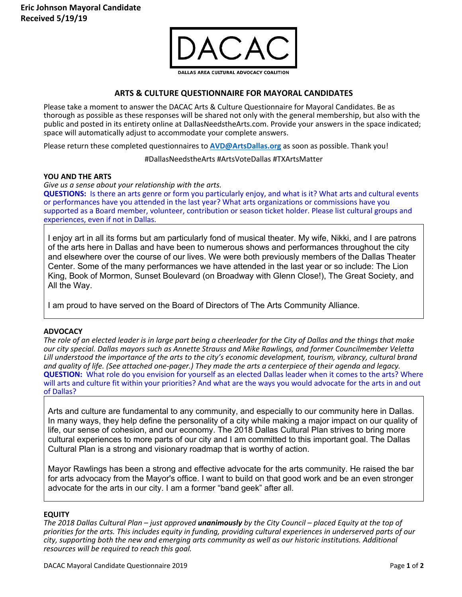

# **ARTS & CULTURE QUESTIONNAIRE FOR MAYORAL CANDIDATES**

Please take a moment to answer the DACAC Arts & Culture Questionnaire for Mayoral Candidates. Be as thorough as possible as these responses will be shared not only with the general membership, but also with the public and posted in its entirety online at DallasNeedstheArts.com. Provide your answers in the space indicated; space will automatically adjust to accommodate your complete answers.

Please return these completed questionnaires to **AVD@ArtsDallas.org** as soon as possible. Thank you!

#DallasNeedstheArts #ArtsVoteDallas #TXArtsMatter

## **YOU AND THE ARTS**

*Give us a sense about your relationship with the arts.*

**QUESTIONS:** Is there an arts genre or form you particularly enjoy, and what is it? What arts and cultural events or performances have you attended in the last year? What arts organizations or commissions have you supported as a Board member, volunteer, contribution or season ticket holder. Please list cultural groups and experiences, even if not in Dallas.

I enjoy art in all its forms but am particularly fond of musical theater. My wife, Nikki, and I are patrons of the arts here in Dallas and have been to numerous shows and performances throughout the city and elsewhere over the course of our lives. We were both previously members of the Dallas Theater Center. Some of the many performances we have attended in the last year or so include: The Lion King, Book of Mormon, Sunset Boulevard (on Broadway with Glenn Close!), The Great Society, and All the Way.

I am proud to have served on the Board of Directors of The Arts Community Alliance.

## **ADVOCACY**

*The role of an elected leader is in large part being a cheerleader for the City of Dallas and the things that make our city special. Dallas mayors such as Annette Strauss and Mike Rawlings, and former Councilmember Veletta Lill understood the importance of the arts to the city's economic development, tourism, vibrancy, cultural brand and quality of life. (See attached one-pager.) They made the arts a centerpiece of their agenda and legacy.*  **QUESTION:** What role do you envision for yourself as an elected Dallas leader when it comes to the arts? Where will arts and culture fit within your priorities? And what are the ways you would advocate for the arts in and out of Dallas?

Arts and culture are fundamental to any community, and especially to our community here in Dallas. In many ways, they help define the personality of a city while making a major impact on our quality of life, our sense of cohesion, and our economy. The 2018 Dallas Cultural Plan strives to bring more cultural experiences to more parts of our city and I am committed to this important goal. The Dallas Cultural Plan is a strong and visionary roadmap that is worthy of action.

Mayor Rawlings has been a strong and effective advocate for the arts community. He raised the bar for arts advocacy from the Mayor's office. I want to build on that good work and be an even stronger advocate for the arts in our city. I am a former "band geek" after all.

## **EQUITY**

*The 2018 Dallas Cultural Plan – just approved unanimously by the City Council – placed Equity at the top of priorities for the arts. This includes equity in funding, providing cultural experiences in underserved parts of our city, supporting both the new and emerging arts community as well as our historic institutions. Additional resources will be required to reach this goal.*